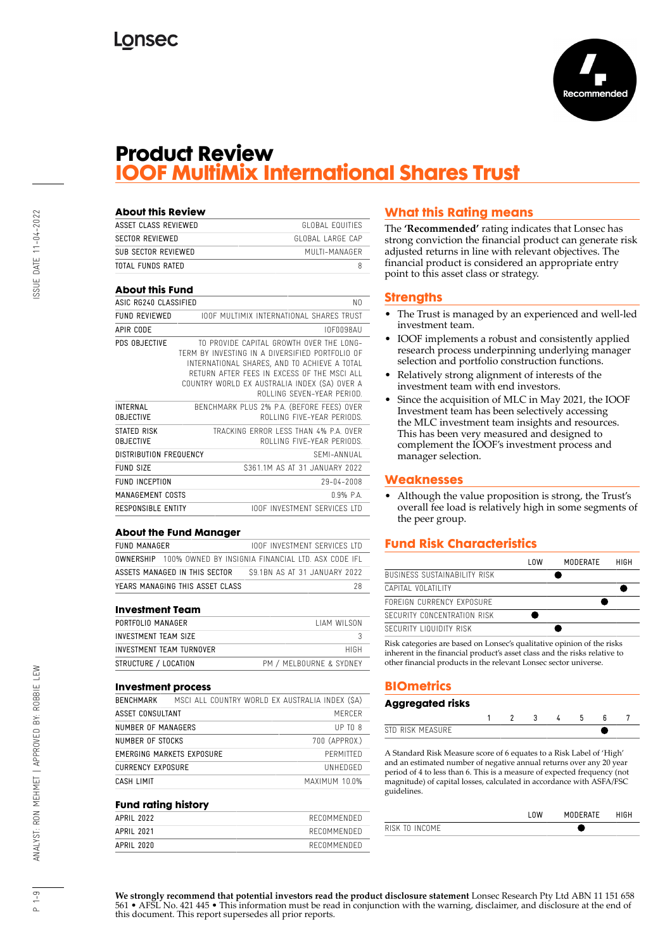

## **Product Review IOOF MultiMix International Shares Trust**

| <b>About this Review</b>            |                                                                                                                                                                                                                                                                         |
|-------------------------------------|-------------------------------------------------------------------------------------------------------------------------------------------------------------------------------------------------------------------------------------------------------------------------|
| ASSET CLASS REVIEWED                | GLOBAL FOUITIES                                                                                                                                                                                                                                                         |
| <b>SECTOR REVIEWED</b>              | GLOBAL LARGE CAP                                                                                                                                                                                                                                                        |
| SUB SECTOR REVIEWED                 | MUITI-MANAGER                                                                                                                                                                                                                                                           |
| <b>TOTAL FUNDS RATED</b>            | 8                                                                                                                                                                                                                                                                       |
| <b>About this Fund</b>              |                                                                                                                                                                                                                                                                         |
| ASIC RG240 CLASSIFIED               | N <sub>0</sub>                                                                                                                                                                                                                                                          |
| <b>FUND REVIEWED</b>                | <b>IOOF MULTIMIX INTERNATIONAL SHARES TRUST</b>                                                                                                                                                                                                                         |
| APIR CODE                           | IOF0098AU                                                                                                                                                                                                                                                               |
| PDS OBJECTIVE                       | TO PROVIDE CAPITAL GROWTH OVER THE LONG-<br>TERM BY INVESTING IN A DIVERSIFIED PORTFOLIO OF<br>INTERNATIONAL SHARES, AND TO ACHIEVE A TOTAL<br>RETURN AFTER FEES IN EXCESS OF THE MSCLALL<br>COUNTRY WORLD EX AUSTRALIA INDEX (SA) OVER A<br>ROLLING SEVEN-YEAR PERIOD. |
| <b>INTERNAL</b><br><b>OBJECTIVE</b> | BENCHMARK PLUS 2% P.A. (BEFORE FEES) OVER<br>ROLLING FIVE-YEAR PERIODS                                                                                                                                                                                                  |
| STATED RISK<br><b>OBJECTIVE</b>     | TRACKING FRROR LESS THAN 4% P.A. OVER<br>ROLLING FIVE-YEAR PERIODS                                                                                                                                                                                                      |
| <b>DISTRIBUTION FREQUENCY</b>       | SFMI-ANNUAL                                                                                                                                                                                                                                                             |
| FUND SIZE                           | \$361.1M AS AT 31 JANUARY 2022                                                                                                                                                                                                                                          |
| <b>FUND INCEPTION</b>               | 29-04-2008                                                                                                                                                                                                                                                              |
| MANAGEMENT COSTS                    | $0.9%$ P.A.                                                                                                                                                                                                                                                             |
| <b>RESPONSIBLE ENTITY</b>           | <b>IOOF INVESTMENT SERVICES LTD</b>                                                                                                                                                                                                                                     |

#### **About the Fund Manager**

FUND MANAGER **IOOF INVESTMENT SERVICES LTD** OWNERSHIP 100% OWNED BY INSIGNIA FINANCIAL LTD. ASX CODE IFL ASSETS MANAGED IN THIS SECTOR \$9.1BN AS AT 31 JANUARY 2022 **YEARS MANAGING THIS ASSET CLASS** 28

#### **Investment Team**

| TIAM WILSON              |
|--------------------------|
|                          |
| HIGH                     |
| PM / MEI BOURNE & SYDNEY |
|                          |

#### **Investment process**

| BENCHMARK                | MSCI ALL COUNTRY WORLD EX AUSTRALIA INDEX (\$A) |               |
|--------------------------|-------------------------------------------------|---------------|
| ASSET CONSULTANT         |                                                 | MFRCFR        |
| NUMBER OF MANAGERS       |                                                 | UPTOR         |
| NUMBER OF STOCKS         |                                                 | 700 (APPROX.) |
|                          | EMERGING MARKETS EXPOSURE                       | PFRMITTED     |
| <b>CURRENCY EXPOSURE</b> |                                                 | UNHEDGED      |
| CASH LIMIT               |                                                 | MAXIMUM 10.0% |

#### **Fund rating history**

| APRIL 2022 | RECOMMENDED |
|------------|-------------|
| APRIL 2021 | RECOMMENDED |
| APRIL 2020 | RECOMMENDED |

## **What this Rating means**

The **'Recommended'** rating indicates that Lonsec has strong conviction the financial product can generate risk adjusted returns in line with relevant objectives. The financial product is considered an appropriate entry point to this asset class or strategy.

#### **Strengths**

- The Trust is managed by an experienced and well-led investment team.
- IOOF implements a robust and consistently applied research process underpinning underlying manager selection and portfolio construction functions.
- Relatively strong alignment of interests of the investment team with end investors.
- Since the acquisition of MLC in May 2021, the IOOF Investment team has been selectively accessing the MLC investment team insights and resources. This has been very measured and designed to complement the IOOF's investment process and manager selection.

### **Weaknesses**

• Although the value proposition is strong, the Trust's overall fee load is relatively high in some segments of the peer group.

## **Fund Risk Characteristics**

|                                     | l OW | MODERATE | HIGH |
|-------------------------------------|------|----------|------|
| <b>BUSINESS SUSTAINABILITY RISK</b> |      |          |      |
| CAPITAL VOLATILITY                  |      |          |      |
| FORFIGN CURRENCY EXPOSURE           |      |          |      |
| SECURITY CONCENTRATION RISK         |      |          |      |
| SECURITY LIQUIDITY RISK             |      |          |      |
|                                     |      |          |      |

Risk categories are based on Lonsec's qualitative opinion of the risks inherent in the financial product's asset class and the risks relative to other financial products in the relevant Lonsec sector universe.

## **BIOmetrics**

#### **Aggregated risks** 1 2 3 4 5 6 7 STD RISK MEASURE

A Standard Risk Measure score of 6 equates to a Risk Label of 'High' and an estimated number of negative annual returns over any 20 year period of 4 to less than 6. This is a measure of expected frequency (not magnitude) of capital losses, calculated in accordance with ASFA/FSC guidelines.

|                | $\bigcap M$ | <b>MODERATE</b> | HIGH |
|----------------|-------------|-----------------|------|
| RISK TO INCOME |             |                 |      |

**We strongly recommend that potential investors read the product disclosure statement** Lonsec Research Pty Ltd ABN 11 151 658 561 • AFSL No. 421 445 • This information must be read in conjunction with the warning, disclaimer, and disclosure at the end of this document. This report supersedes all prior reports.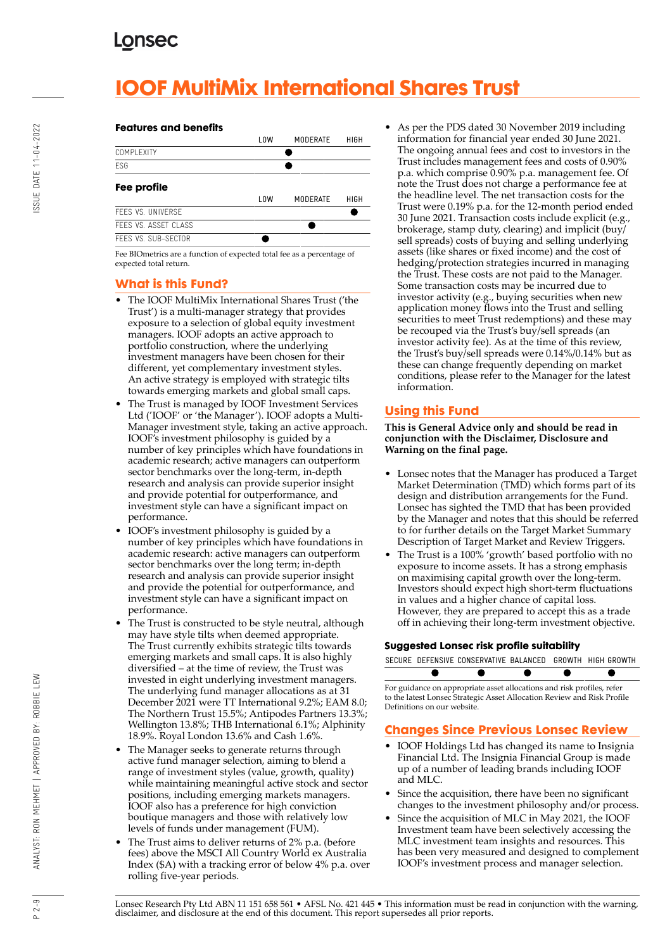# **IOOF MultiMix International Shares Trust**

#### **Features and benefits**



Fee BIOmetrics are a function of expected total fee as a percentage of expected total return.

## **What is this Fund?**

- The IOOF MultiMix International Shares Trust ('the Trust') is a multi-manager strategy that provides exposure to a selection of global equity investment managers. IOOF adopts an active approach to portfolio construction, where the underlying investment managers have been chosen for their different, yet complementary investment styles. An active strategy is employed with strategic tilts towards emerging markets and global small caps.
- The Trust is managed by IOOF Investment Services Ltd ('IOOF' or 'the Manager'). IOOF adopts a Multi-Manager investment style, taking an active approach. IOOF's investment philosophy is guided by a number of key principles which have foundations in academic research; active managers can outperform sector benchmarks over the long-term, in-depth research and analysis can provide superior insight and provide potential for outperformance, and investment style can have a significant impact on performance.
- IOOF's investment philosophy is guided by a number of key principles which have foundations in academic research: active managers can outperform sector benchmarks over the long term; in-depth research and analysis can provide superior insight and provide the potential for outperformance, and investment style can have a significant impact on performance.
- The Trust is constructed to be style neutral, although may have style tilts when deemed appropriate. The Trust currently exhibits strategic tilts towards emerging markets and small caps. It is also highly diversified – at the time of review, the Trust was invested in eight underlying investment managers. The underlying fund manager allocations as at 31 December 2021 were TT International 9.2%; EAM 8.0; The Northern Trust 15.5%; Antipodes Partners 13.3%; Wellington 13.8%; THB International 6.1%; Alphinity 18.9%. Royal London 13.6% and Cash 1.6%.
- The Manager seeks to generate returns through active fund manager selection, aiming to blend a range of investment styles (value, growth, quality) while maintaining meaningful active stock and sector positions, including emerging markets managers. IOOF also has a preference for high conviction boutique managers and those with relatively low levels of funds under management (FUM).
- The Trust aims to deliver returns of 2% p.a. (before fees) above the MSCI All Country World ex Australia Index (\$A) with a tracking error of below 4% p.a. over rolling five-year periods.

• As per the PDS dated 30 November 2019 including information for financial year ended 30 June 2021. The ongoing annual fees and cost to investors in the Trust includes management fees and costs of 0.90% p.a. which comprise 0.90% p.a. management fee. Of note the Trust does not charge a performance fee at the headline level. The net transaction costs for the Trust were 0.19% p.a. for the 12-month period ended 30 June 2021. Transaction costs include explicit (e.g., brokerage, stamp duty, clearing) and implicit (buy/ sell spreads) costs of buying and selling underlying assets (like shares or fixed income) and the cost of hedging/protection strategies incurred in managing the Trust. These costs are not paid to the Manager. Some transaction costs may be incurred due to investor activity (e.g., buying securities when new application money flows into the Trust and selling securities to meet Trust redemptions) and these may be recouped via the Trust's buy/sell spreads (an investor activity fee). As at the time of this review, the Trust's buy/sell spreads were 0.14%/0.14% but as these can change frequently depending on market conditions, please refer to the Manager for the latest information.

## **Using this Fund**

**This is General Advice only and should be read in conjunction with the Disclaimer, Disclosure and Warning on the final page.**

- Lonsec notes that the Manager has produced a Target Market Determination (TMD) which forms part of its design and distribution arrangements for the Fund. Lonsec has sighted the TMD that has been provided by the Manager and notes that this should be referred to for further details on the Target Market Summary Description of Target Market and Review Triggers.
- The Trust is a 100% 'growth' based portfolio with no exposure to income assets. It has a strong emphasis on maximising capital growth over the long-term. Investors should expect high short-term fluctuations in values and a higher chance of capital loss. However, they are prepared to accept this as a trade off in achieving their long-term investment objective.

#### **Suggested Lonsec risk profile suitability**

SECURE DEFENSIVE CONSERVATIVE BALANCED GROWTH HIGH GROWTH ●

For guidance on appropriate asset allocations and risk profiles, refer to the latest Lonsec Strategic Asset Allocation Review and Risk Profile Definitions on our website.

## **Changes Since Previous Lonsec Review**

- IOOF Holdings Ltd has changed its name to Insignia Financial Ltd. The Insignia Financial Group is made up of a number of leading brands including IOOF and MLC.
- Since the acquisition, there have been no significant changes to the investment philosophy and/or process.
- Since the acquisition of MLC in May 2021, the IOOF Investment team have been selectively accessing the MLC investment team insights and resources. This has been very measured and designed to complement IOOF's investment process and manager selection.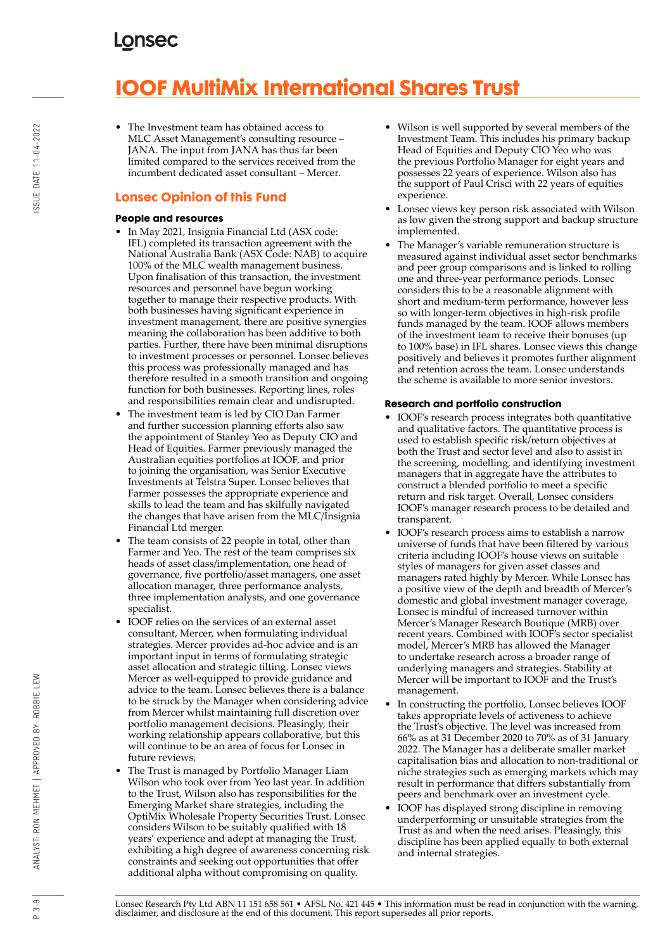# **IOOF MultiMix International Shares Trust**

• The Investment team has obtained access to MLC Asset Management's consulting resource – JANA. The input from JANA has thus far been limited compared to the services received from the incumbent dedicated asset consultant – Mercer.

## **Lonsec Opinion of this Fund**

#### **People and resources**

- In May 2021, Insignia Financial Ltd (ASX code: IFL) completed its transaction agreement with the National Australia Bank (ASX Code: NAB) to acquire 100% of the MLC wealth management business. Upon finalisation of this transaction, the investment resources and personnel have begun working together to manage their respective products. With both businesses having significant experience in investment management, there are positive synergies meaning the collaboration has been additive to both parties. Further, there have been minimal disruptions to investment processes or personnel. Lonsec believes this process was professionally managed and has therefore resulted in a smooth transition and ongoing function for both businesses. Reporting lines, roles and responsibilities remain clear and undisrupted.
- The investment team is led by CIO Dan Farmer and further succession planning efforts also saw the appointment of Stanley Yeo as Deputy CIO and Head of Equities. Farmer previously managed the Australian equities portfolios at IOOF, and prior to joining the organisation, was Senior Executive Investments at Telstra Super. Lonsec believes that Farmer possesses the appropriate experience and skills to lead the team and has skilfully navigated the changes that have arisen from the MLC/Insignia Financial Ltd merger.
- The team consists of 22 people in total, other than Farmer and Yeo. The rest of the team comprises six heads of asset class/implementation, one head of governance, five portfolio/asset managers, one asset allocation manager, three performance analysts, three implementation analysts, and one governance specialist.
- IOOF relies on the services of an external asset consultant, Mercer, when formulating individual strategies. Mercer provides ad-hoc advice and is an important input in terms of formulating strategic asset allocation and strategic tilting. Lonsec views Mercer as well-equipped to provide guidance and advice to the team. Lonsec believes there is a balance to be struck by the Manager when considering advice from Mercer whilst maintaining full discretion over portfolio management decisions. Pleasingly, their working relationship appears collaborative, but this will continue to be an area of focus for Lonsec in future reviews.
- The Trust is managed by Portfolio Manager Liam Wilson who took over from Yeo last year. In addition to the Trust, Wilson also has responsibilities for the Emerging Market share strategies, including the OptiMix Wholesale Property Securities Trust. Lonsec considers Wilson to be suitably qualified with 18 years' experience and adept at managing the Trust, exhibiting a high degree of awareness concerning risk constraints and seeking out opportunities that offer additional alpha without compromising on quality.
- Wilson is well supported by several members of the Investment Team. This includes his primary backup Head of Equities and Deputy CIO Yeo who was the previous Portfolio Manager for eight years and possesses 22 years of experience. Wilson also has the support of Paul Crisci with 22 years of equities experience.
- Lonsec views key person risk associated with Wilson as low given the strong support and backup structure implemented.
- The Manager's variable remuneration structure is measured against individual asset sector benchmarks and peer group comparisons and is linked to rolling one and three-year performance periods. Lonsec considers this to be a reasonable alignment with short and medium-term performance, however less so with longer-term objectives in high-risk profile funds managed by the team. IOOF allows members of the investment team to receive their bonuses (up to 100% base) in IFL shares. Lonsec views this change positively and believes it promotes further alignment and retention across the team. Lonsec understands the scheme is available to more senior investors.

### **Research and portfolio construction**

- IOOF's research process integrates both quantitative and qualitative factors. The quantitative process is used to establish specific risk/return objectives at both the Trust and sector level and also to assist in the screening, modelling, and identifying investment managers that in aggregate have the attributes to construct a blended portfolio to meet a specific return and risk target. Overall, Lonsec considers IOOF's manager research process to be detailed and transparent.
- IOOF's research process aims to establish a narrow universe of funds that have been filtered by various criteria including IOOF's house views on suitable styles of managers for given asset classes and managers rated highly by Mercer. While Lonsec has a positive view of the depth and breadth of Mercer's domestic and global investment manager coverage, Lonsec is mindful of increased turnover within Mercer's Manager Research Boutique (MRB) over recent years. Combined with IOOF's sector specialist model, Mercer's MRB has allowed the Manager to undertake research across a broader range of underlying managers and strategies. Stability at Mercer will be important to IOOF and the Trust's management.
- In constructing the portfolio, Lonsec believes IOOF takes appropriate levels of activeness to achieve the Trust's objective. The level was increased from 66% as at 31 December 2020 to 70% as of 31 January 2022. The Manager has a deliberate smaller market capitalisation bias and allocation to non-traditional or niche strategies such as emerging markets which may result in performance that differs substantially from peers and benchmark over an investment cycle.
- IOOF has displayed strong discipline in removing underperforming or unsuitable strategies from the Trust as and when the need arises. Pleasingly, this discipline has been applied equally to both external and internal strategies.

Lonsec Research Pty Ltd ABN 11 151 658 561 • AFSL No. 421 445 • This information must be read in conjunction with the warning, disclaimer, and disclosure at the end of this document. This report supersedes all prior reports.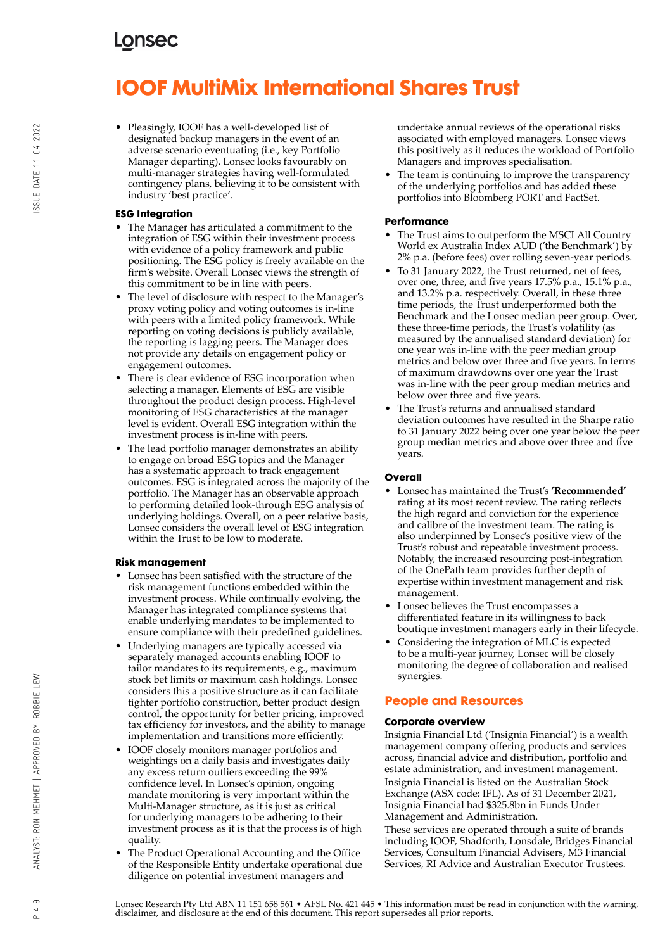# **IOOF MultiMix International Shares Trust**

• Pleasingly, IOOF has a well-developed list of designated backup managers in the event of an adverse scenario eventuating (i.e., key Portfolio Manager departing). Lonsec looks favourably on multi-manager strategies having well-formulated contingency plans, believing it to be consistent with industry 'best practice'.

### **ESG Integration**

- The Manager has articulated a commitment to the integration of ESG within their investment process with evidence of a policy framework and public positioning. The ESG policy is freely available on the firm's website. Overall Lonsec views the strength of this commitment to be in line with peers.
- The level of disclosure with respect to the Manager's proxy voting policy and voting outcomes is in-line with peers with a limited policy framework. While reporting on voting decisions is publicly available, the reporting is lagging peers. The Manager does not provide any details on engagement policy or engagement outcomes.
- There is clear evidence of ESG incorporation when selecting a manager. Elements of ESG are visible throughout the product design process. High-level monitoring of ESG characteristics at the manager level is evident. Overall ESG integration within the investment process is in-line with peers.
- The lead portfolio manager demonstrates an ability to engage on broad ESG topics and the Manager has a systematic approach to track engagement outcomes. ESG is integrated across the majority of the portfolio. The Manager has an observable approach to performing detailed look-through ESG analysis of underlying holdings. Overall, on a peer relative basis, Lonsec considers the overall level of ESG integration within the Trust to be low to moderate.

#### **Risk management**

- Lonsec has been satisfied with the structure of the risk management functions embedded within the investment process. While continually evolving, the Manager has integrated compliance systems that enable underlying mandates to be implemented to ensure compliance with their predefined guidelines.
- Underlying managers are typically accessed via separately managed accounts enabling IOOF to tailor mandates to its requirements, e.g., maximum stock bet limits or maximum cash holdings. Lonsec considers this a positive structure as it can facilitate tighter portfolio construction, better product design control, the opportunity for better pricing, improved tax efficiency for investors, and the ability to manage implementation and transitions more efficiently.
- IOOF closely monitors manager portfolios and weightings on a daily basis and investigates daily any excess return outliers exceeding the 99% confidence level. In Lonsec's opinion, ongoing mandate monitoring is very important within the Multi-Manager structure, as it is just as critical for underlying managers to be adhering to their investment process as it is that the process is of high quality.
- The Product Operational Accounting and the Office of the Responsible Entity undertake operational due diligence on potential investment managers and

undertake annual reviews of the operational risks associated with employed managers. Lonsec views this positively as it reduces the workload of Portfolio Managers and improves specialisation.

The team is continuing to improve the transparency of the underlying portfolios and has added these portfolios into Bloomberg PORT and FactSet.

#### **Performance**

- The Trust aims to outperform the MSCI All Country World ex Australia Index AUD ('the Benchmark') by 2% p.a. (before fees) over rolling seven-year periods.
- To 31 January 2022, the Trust returned, net of fees, over one, three, and five years 17.5% p.a., 15.1% p.a., and 13.2% p.a. respectively. Overall, in these three time periods, the Trust underperformed both the Benchmark and the Lonsec median peer group. Over, these three-time periods, the Trust's volatility (as measured by the annualised standard deviation) for one year was in-line with the peer median group metrics and below over three and five years. In terms of maximum drawdowns over one year the Trust was in-line with the peer group median metrics and below over three and five years.
- The Trust's returns and annualised standard deviation outcomes have resulted in the Sharpe ratio to 31 January 2022 being over one year below the peer group median metrics and above over three and five years.

### **Overall**

- Lonsec has maintained the Trust's **'Recommended'** rating at its most recent review. The rating reflects the high regard and conviction for the experience and calibre of the investment team. The rating is also underpinned by Lonsec's positive view of the Trust's robust and repeatable investment process. Notably, the increased resourcing post-integration of the OnePath team provides further depth of expertise within investment management and risk management.
- Lonsec believes the Trust encompasses a differentiated feature in its willingness to back boutique investment managers early in their lifecycle.
- Considering the integration of MLC is expected to be a multi-year journey, Lonsec will be closely monitoring the degree of collaboration and realised synergies.

## **People and Resources**

### **Corporate overview**

Insignia Financial Ltd ('Insignia Financial') is a wealth management company offering products and services across, financial advice and distribution, portfolio and estate administration, and investment management. Insignia Financial is listed on the Australian Stock Exchange (ASX code: IFL). As of 31 December 2021, Insignia Financial had \$325.8bn in Funds Under Management and Administration.

These services are operated through a suite of brands including IOOF, Shadforth, Lonsdale, Bridges Financial Services, Consultum Financial Advisers, M3 Financial Services, RI Advice and Australian Executor Trustees.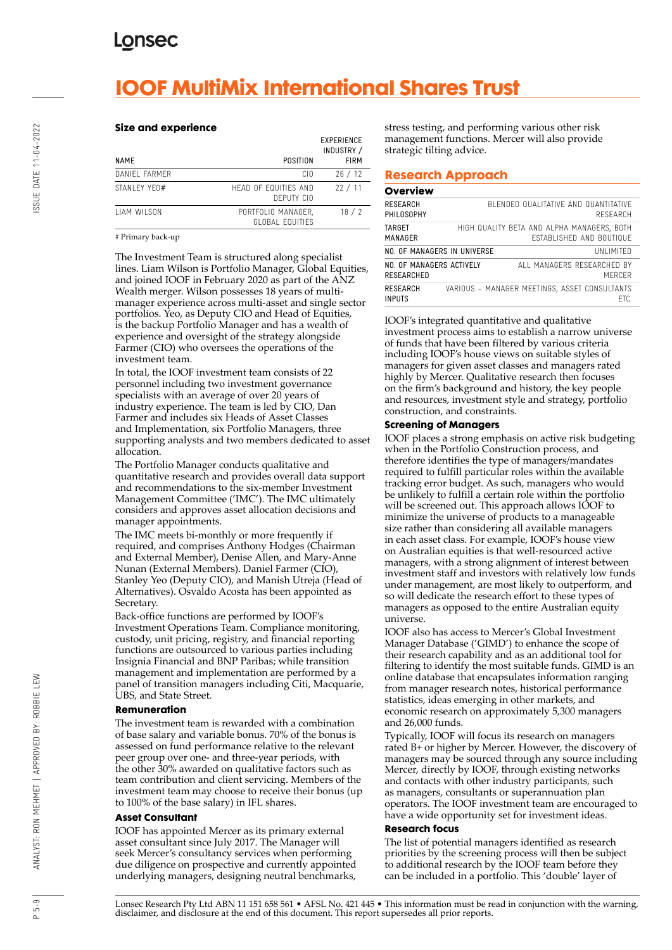# **IOOF MultiMix International Shares Trust**

#### **Size and experience**

| <b>NAME</b>   | POSITION                              | <b>EXPERIENCE</b><br>INDUSTRY /<br><b>FIRM</b> |
|---------------|---------------------------------------|------------------------------------------------|
| DANIFI FARMER | CIO.                                  | 26/12                                          |
| STANI FY YF0# | HEAD OF FOUITIES AND<br>DEPUTY CIO    | 22/11                                          |
| TIAM WILSON   | PORTFOLIO MANAGER.<br>GLOBAL FOUITIES | 18/2                                           |

#### # Primary back-up

The Investment Team is structured along specialist lines. Liam Wilson is Portfolio Manager, Global Equities, and joined IOOF in February 2020 as part of the ANZ Wealth merger. Wilson possesses 18 years of multimanager experience across multi-asset and single sector portfolios. Yeo, as Deputy CIO and Head of Equities, is the backup Portfolio Manager and has a wealth of experience and oversight of the strategy alongside Farmer (CIO) who oversees the operations of the investment team.

In total, the IOOF investment team consists of 22 personnel including two investment governance specialists with an average of over 20 years of industry experience. The team is led by CIO, Dan Farmer and includes six Heads of Asset Classes and Implementation, six Portfolio Managers, three supporting analysts and two members dedicated to asset allocation.

The Portfolio Manager conducts qualitative and quantitative research and provides overall data support and recommendations to the six-member Investment Management Committee ('IMC'). The IMC ultimately considers and approves asset allocation decisions and manager appointments.

The IMC meets bi-monthly or more frequently if required, and comprises Anthony Hodges (Chairman and External Member), Denise Allen, and Mary-Anne Nunan (External Members). Daniel Farmer (CIO), Stanley Yeo (Deputy CIO), and Manish Utreja (Head of Alternatives). Osvaldo Acosta has been appointed as Secretary.

Back-office functions are performed by IOOF's Investment Operations Team. Compliance monitoring, custody, unit pricing, registry, and financial reporting functions are outsourced to various parties including Insignia Financial and BNP Paribas; while transition management and implementation are performed by a panel of transition managers including Citi, Macquarie, UBS, and State Street.

#### **Remuneration**

The investment team is rewarded with a combination of base salary and variable bonus. 70% of the bonus is assessed on fund performance relative to the relevant peer group over one- and three-year periods, with the other 30% awarded on qualitative factors such as team contribution and client servicing. Members of the investment team may choose to receive their bonus (up to 100% of the base salary) in IFL shares.

#### **Asset Consultant**

IOOF has appointed Mercer as its primary external asset consultant since July 2017. The Manager will seek Mercer's consultancy services when performing due diligence on prospective and currently appointed underlying managers, designing neutral benchmarks,

stress testing, and performing various other risk management functions. Mercer will also provide strategic tilting advice.

#### **Research Approach**

#### **Overview**

| RESEARCH<br>PHILOSOPHY                 |                             | BI FNDED QUALITATIVE AND QUANTITATIVE<br>RESEARCH                             |
|----------------------------------------|-----------------------------|-------------------------------------------------------------------------------|
| TARGET<br>MANAGER                      |                             | HIGH QUALITY BETA AND ALPHA MANAGERS, BOTH<br><b>FSTABLISHED AND BOUTIQUE</b> |
|                                        | NO. OF MANAGERS IN UNIVERSE | UNI IMITED                                                                    |
| NO. OF MANAGERS ACTIVELY<br>RESEARCHED |                             | ALL MANAGERS RESEARCHED BY<br>MFRCFR                                          |
| <b>RESEARCH</b><br><b>INPUTS</b>       |                             | VARIOUS - MANAGER MEETINGS, ASSET CONSULTANTS<br>FTC.                         |

IOOF's integrated quantitative and qualitative investment process aims to establish a narrow universe of funds that have been filtered by various criteria including IOOF's house views on suitable styles of managers for given asset classes and managers rated highly by Mercer. Qualitative research then focuses on the firm's background and history, the key people and resources, investment style and strategy, portfolio construction, and constraints.

#### **Screening of Managers**

IOOF places a strong emphasis on active risk budgeting when in the Portfolio Construction process, and therefore identifies the type of managers/mandates required to fulfill particular roles within the available tracking error budget. As such, managers who would be unlikely to fulfill a certain role within the portfolio will be screened out. This approach allows IOOF to minimize the universe of products to a manageable size rather than considering all available managers in each asset class. For example, IOOF's house view on Australian equities is that well-resourced active managers, with a strong alignment of interest between investment staff and investors with relatively low funds under management, are most likely to outperform, and so will dedicate the research effort to these types of managers as opposed to the entire Australian equity universe.

IOOF also has access to Mercer's Global Investment Manager Database ('GIMD') to enhance the scope of their research capability and as an additional tool for filtering to identify the most suitable funds. GIMD is an online database that encapsulates information ranging from manager research notes, historical performance statistics, ideas emerging in other markets, and economic research on approximately 5,300 managers and 26,000 funds.

Typically, IOOF will focus its research on managers rated B+ or higher by Mercer. However, the discovery of managers may be sourced through any source including Mercer, directly by IOOF, through existing networks and contacts with other industry participants, such as managers, consultants or superannuation plan operators. The IOOF investment team are encouraged to have a wide opportunity set for investment ideas.

#### **Research focus**

The list of potential managers identified as research priorities by the screening process will then be subject to additional research by the IOOF team before they can be included in a portfolio. This 'double' layer of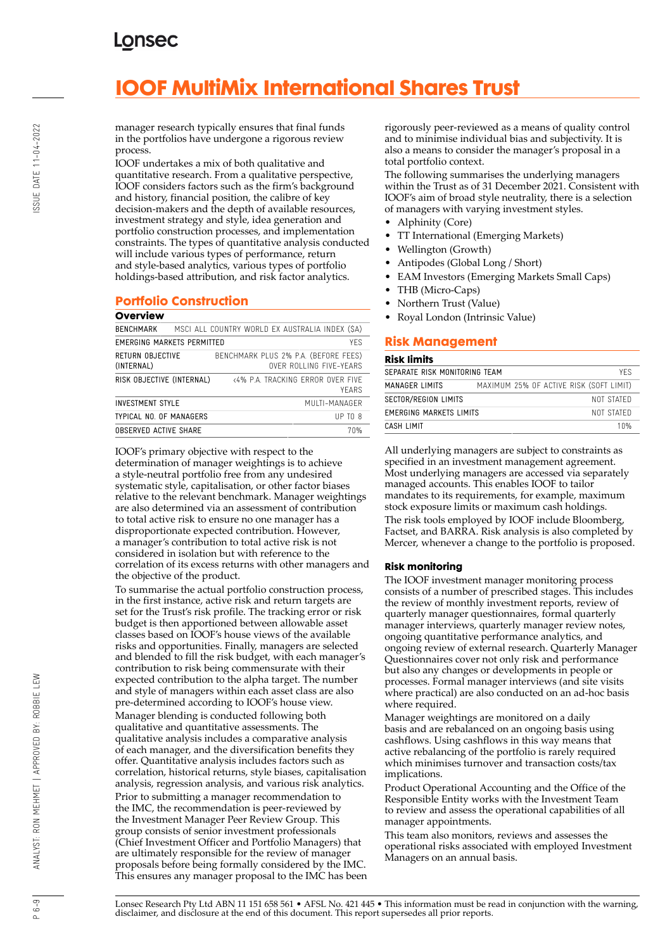# **IOOF MultiMix International Shares Trust**

manager research typically ensures that final funds in the portfolios have undergone a rigorous review process.

IOOF undertakes a mix of both qualitative and quantitative research. From a qualitative perspective, IOOF considers factors such as the firm's background and history, financial position, the calibre of key decision-makers and the depth of available resources, investment strategy and style, idea generation and portfolio construction processes, and implementation constraints. The types of quantitative analysis conducted will include various types of performance, return and style-based analytics, various types of portfolio holdings-based attribution, and risk factor analytics.

## **Portfolio Construction**

#### **Overview**

| BENCHMARK                         | MSCI ALL COUNTRY WORLD EX AUSTRALIA INDEX (SA)                  |  |  |  |
|-----------------------------------|-----------------------------------------------------------------|--|--|--|
| YFS<br>EMERGING MARKETS PERMITTED |                                                                 |  |  |  |
| RETURN OBJECTIVE<br>(INTERNAL)    | BENCHMARK PLUS 2% P.A. (BEFORE FEES)<br>OVER ROLLING FIVE-YEARS |  |  |  |
| RISK OBJECTIVE (INTERNAL)         | <4% P.A. TRACKING FRROR OVER FIVE<br>YFARS                      |  |  |  |
| <b>INVESTMENT STYLE</b>           | MUITI-MANAGER                                                   |  |  |  |
| TYPICAL NO. OF MANAGERS           | $UP$ TO $8$                                                     |  |  |  |
| <b>OBSERVED ACTIVE SHARE</b>      | 70%                                                             |  |  |  |
|                                   |                                                                 |  |  |  |

IOOF's primary objective with respect to the determination of manager weightings is to achieve a style-neutral portfolio free from any undesired systematic style, capitalisation, or other factor biases relative to the relevant benchmark. Manager weightings are also determined via an assessment of contribution to total active risk to ensure no one manager has a disproportionate expected contribution. However, a manager's contribution to total active risk is not considered in isolation but with reference to the correlation of its excess returns with other managers and the objective of the product.

To summarise the actual portfolio construction process, in the first instance, active risk and return targets are set for the Trust's risk profile. The tracking error or risk budget is then apportioned between allowable asset classes based on IOOF's house views of the available risks and opportunities. Finally, managers are selected and blended to fill the risk budget, with each manager's contribution to risk being commensurate with their expected contribution to the alpha target. The number and style of managers within each asset class are also pre-determined according to IOOF's house view. Manager blending is conducted following both qualitative and quantitative assessments. The qualitative analysis includes a comparative analysis of each manager, and the diversification benefits they offer. Quantitative analysis includes factors such as correlation, historical returns, style biases, capitalisation analysis, regression analysis, and various risk analytics. Prior to submitting a manager recommendation to the IMC, the recommendation is peer-reviewed by the Investment Manager Peer Review Group. This group consists of senior investment professionals (Chief Investment Officer and Portfolio Managers) that are ultimately responsible for the review of manager proposals before being formally considered by the IMC. This ensures any manager proposal to the IMC has been rigorously peer-reviewed as a means of quality control and to minimise individual bias and subjectivity. It is also a means to consider the manager's proposal in a total portfolio context.

The following summarises the underlying managers within the Trust as of 31 December 2021. Consistent with IOOF's aim of broad style neutrality, there is a selection of managers with varying investment styles.

- Alphinity (Core)
- TT International (Emerging Markets)
- Wellington (Growth)
- Antipodes (Global Long / Short)
- EAM Investors (Emerging Markets Small Caps)
- THB (Micro-Caps)
- Northern Trust (Value)
- Royal London (Intrinsic Value)

## **Risk Management**

#### **Risk limits**

| SEPARATE RISK MONITORING TEAM<br>YFS. |                                         |      |  |  |
|---------------------------------------|-----------------------------------------|------|--|--|
| MANAGER LIMITS                        | MAXIMUM 25% OF ACTIVE RISK (SOFT LIMIT) |      |  |  |
| SECTOR/REGION LIMITS<br>NOT STATED    |                                         |      |  |  |
| EMERGING MARKETS LIMITS<br>NOT STATED |                                         |      |  |  |
| CASH LIMIT                            |                                         | 1 በ% |  |  |

All underlying managers are subject to constraints as specified in an investment management agreement. Most underlying managers are accessed via separately managed accounts. This enables IOOF to tailor mandates to its requirements, for example, maximum stock exposure limits or maximum cash holdings. The risk tools employed by IOOF include Bloomberg, Factset, and BARRA. Risk analysis is also completed by Mercer, whenever a change to the portfolio is proposed.

#### **Risk monitoring**

The IOOF investment manager monitoring process consists of a number of prescribed stages. This includes the review of monthly investment reports, review of quarterly manager questionnaires, formal quarterly manager interviews, quarterly manager review notes, ongoing quantitative performance analytics, and ongoing review of external research. Quarterly Manager Questionnaires cover not only risk and performance but also any changes or developments in people or processes. Formal manager interviews (and site visits where practical) are also conducted on an ad-hoc basis where required.

Manager weightings are monitored on a daily basis and are rebalanced on an ongoing basis using cashflows. Using cashflows in this way means that active rebalancing of the portfolio is rarely required which minimises turnover and transaction costs/tax implications.

Product Operational Accounting and the Office of the Responsible Entity works with the Investment Team to review and assess the operational capabilities of all manager appointments.

This team also monitors, reviews and assesses the operational risks associated with employed Investment Managers on an annual basis.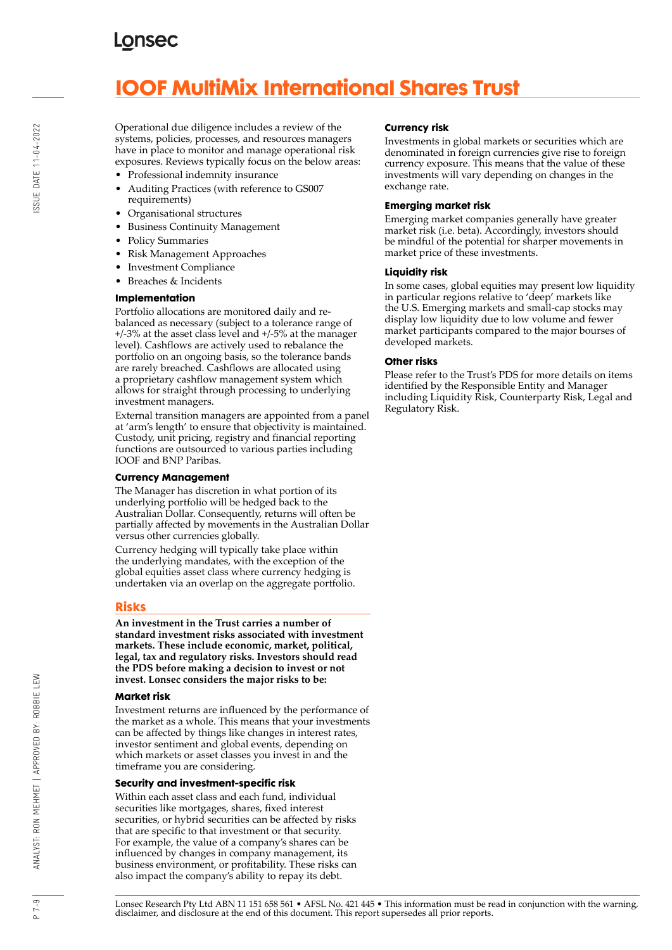# **IOOF MultiMix International Shares Trust**

Operational due diligence includes a review of the systems, policies, processes, and resources managers have in place to monitor and manage operational risk exposures. Reviews typically focus on the below areas:

- Professional indemnity insurance
- Auditing Practices (with reference to GS007 requirements)
- Organisational structures
- Business Continuity Management
- Policy Summaries
- Risk Management Approaches
- Investment Compliance
- Breaches & Incidents

#### **Implementation**

Portfolio allocations are monitored daily and rebalanced as necessary (subject to a tolerance range of +/-3% at the asset class level and +/-5% at the manager level). Cashflows are actively used to rebalance the portfolio on an ongoing basis, so the tolerance bands are rarely breached. Cashflows are allocated using a proprietary cashflow management system which allows for straight through processing to underlying investment managers.

External transition managers are appointed from a panel at 'arm's length' to ensure that objectivity is maintained. Custody, unit pricing, registry and financial reporting functions are outsourced to various parties including IOOF and BNP Paribas.

#### **Currency Management**

The Manager has discretion in what portion of its underlying portfolio will be hedged back to the Australian Dollar. Consequently, returns will often be partially affected by movements in the Australian Dollar versus other currencies globally.

Currency hedging will typically take place within the underlying mandates, with the exception of the global equities asset class where currency hedging is undertaken via an overlap on the aggregate portfolio.

### **Risks**

**An investment in the Trust carries a number of standard investment risks associated with investment markets. These include economic, market, political, legal, tax and regulatory risks. Investors should read the PDS before making a decision to invest or not invest. Lonsec considers the major risks to be:**

#### **Market risk**

Investment returns are influenced by the performance of the market as a whole. This means that your investments can be affected by things like changes in interest rates, investor sentiment and global events, depending on which markets or asset classes you invest in and the timeframe you are considering.

#### **Security and investment-specific risk**

Within each asset class and each fund, individual securities like mortgages, shares, fixed interest securities, or hybrid securities can be affected by risks that are specific to that investment or that security. For example, the value of a company's shares can be influenced by changes in company management, its business environment, or profitability. These risks can also impact the company's ability to repay its debt.

#### **Currency risk**

Investments in global markets or securities which are denominated in foreign currencies give rise to foreign currency exposure. This means that the value of these investments will vary depending on changes in the exchange rate.

#### **Emerging market risk**

Emerging market companies generally have greater market risk (i.e. beta). Accordingly, investors should be mindful of the potential for sharper movements in market price of these investments.

#### **Liquidity risk**

In some cases, global equities may present low liquidity in particular regions relative to 'deep' markets like the U.S. Emerging markets and small-cap stocks may display low liquidity due to low volume and fewer market participants compared to the major bourses of developed markets.

#### **Other risks**

Please refer to the Trust's PDS for more details on items identified by the Responsible Entity and Manager including Liquidity Risk, Counterparty Risk, Legal and Regulatory Risk.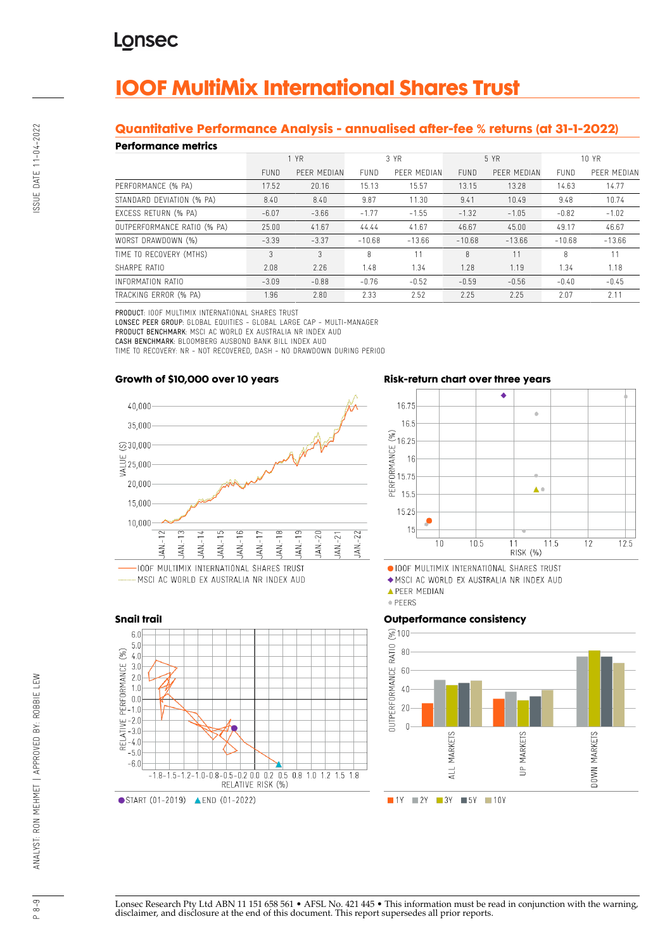# **IOOF MultiMix International Shares Trust**

## **Quantitative Performance Analysis - annualised after-fee % returns (at 31-1-2022)**

#### **Performance metrics**

| *************************   |             |             |             |             |             |             |             |             |
|-----------------------------|-------------|-------------|-------------|-------------|-------------|-------------|-------------|-------------|
|                             | 1 YR        |             | 3 YR        |             | 5 YR        |             | 10 YR       |             |
|                             | <b>FUND</b> | PEER MEDIAN | <b>FUND</b> | PEER MEDIAN | <b>FUND</b> | PEER MEDIAN | <b>FUND</b> | PEER MEDIAN |
| PERFORMANCE (% PA)          | 17.52       | 20.16       | 15.13       | 15.57       | 13.15       | 13.28       | 14.63       | 14.77       |
| STANDARD DEVIATION (% PA)   | 8.40        | 8.40        | 9.87        | 11.30       | 9.41        | 10.49       | 9.48        | 10.74       |
| EXCESS RETURN (% PA)        | $-6.07$     | $-3.66$     | $-1.77$     | $-1.55$     | $-1.32$     | $-1.05$     | $-0.82$     | $-1.02$     |
| OUTPERFORMANCE RATIO (% PA) | 25.00       | 41.67       | 44.44       | 41.67       | 46.67       | 45.00       | 49.17       | 46.67       |
| WORST DRAWDOWN (%)          | $-3.39$     | $-3.37$     | $-10.68$    | $-13.66$    | $-10.68$    | $-13.66$    | $-10.68$    | $-13.66$    |
| TIME TO RECOVERY (MTHS)     | 3           | 3           | 8           |             | 8           | 11          | 8           | 11          |
| SHARPF RATIO                | 2.08        | 2.26        | 1.48        | 1.34        | 1.28        | 1.19        | 1.34        | 1.18        |
| INFORMATION RATIO           | $-3.09$     | $-0.88$     | $-0.76$     | $-0.52$     | $-0.59$     | $-0.56$     | $-0.40$     | $-0.45$     |
| TRACKING ERROR (% PA)       | 1.96        | 2.80        | 2.33        | 2.52        | 2.25        | 2.25        | 2.07        | 2.11        |

PRODUCT: IOOF MULTIMIX INTERNATIONAL SHARES TRUST

LONSEC PEER GROUP: GLOBAL EQUITIES - GLOBAL LARGE CAP - MULTI-MANAGER PRODUCT BENCHMARK: MSCI AC WORLD EX AUSTRALIA NR INDEX AUD CASH BENCHMARK: BLOOMBERG AUSBOND BANK BILL INDEX AUD TIME TO RECOVERY: NR - NOT RECOVERED, DASH - NO DRAWDOWN DURING PERIOD

#### **Growth of \$10,000 over 10 years**



..... MSCI AC WORLD EX AUSTRALIA NR INDEX AUD



### **Risk-return chart over three years**



OIOOF MULTIMIX INTERNATIONAL SHARES TRUST

◆ MSCI AC WORLD EX AUSTRALIA NR INDEX AUD

**APEER MEDIAN** 

· PEERS

#### **Outperformance consistency**



Lonsec Research Pty Ltd ABN 11 151 658 561 • AFSL No. 421 445 • This information must be read in conjunction with the warning, disclaimer, and disclosure at the end of this document. This report supersedes all prior reports.